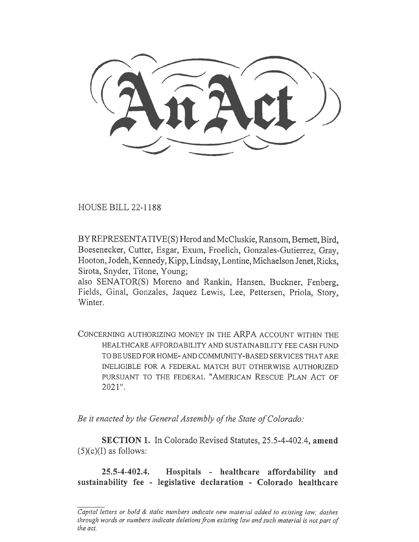HOUSE BILL 22-1188

BY REPRESENTATIVE(S) Herod and McCluskie, Ransom, Bernett, Bird, Boesenecker, Cutter, Esgar, Exum, Froelich, Gonzales-Gutierrez, Gray, Hooton, Jodeh, Kennedy, Kipp, Lindsay, Lontine, Michaelson Jenet, Ricks, Sirota, Snyder, Titone, Young;

also SENATOR(S) Moreno and Rankin, Hansen, Buckner, Fenberg, Fields, Ginal, Gonzales, Jaquez Lewis, Lee, Pettersen, Priola, Story, Winter.

CONCERNING AUTHORIZING MONEY IN THE ARPA ACCOUNT WITHIN THE HEALTHCARE AFFORDABILITY AND SUSTAINABILITY FEE CASH FUND TO BE USED FOR HOME- AND COMMUNITY-BASED SERVICES THAT ARE INELIGIBLE FOR A FEDERAL MATCH BUT OTHERWISE AUTHORIZED PURSUANT TO THE FEDERAL "AMERICAN RESCUE PLAN ACT OF 2021".

Be it enacted by the General Assembly of the State of Colorado:

SECTION 1. In Colorado Revised Statutes, 25.5-4-402.4, amend  $(5)(c)(I)$  as follows:

25.5-4-402.4. Hospitals - healthcare affordability and sustainability fee - legislative declaration - Colorado healthcare

Capital letters or bold & italic numbers indicate new material added to existing law; dashes through words or numbers indicate deletions from existing law and such material is not part of the act.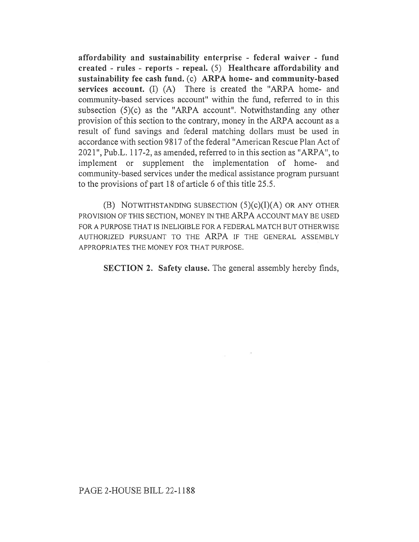affordability and sustainability enterprise - federal waiver - fund created - rules - reports - repeal. (5) Healthcare affordability and sustainability fee cash fund. (c) ARPA home- and community-based services account. (I) (A) There is created the "ARPA home- and community-based services account" within the fund, referred to in this subsection (5)(c) as the "ARPA account". Notwithstanding any other provision of this section to the contrary, money in the ARPA account as a result of fund savings and federal matching dollars must be used in accordance with section 9817 of the federal "American Rescue Plan Act of 2021", Pub.L. 117-2, as amended, referred to in this section as "ARPA", to implement or supplement the implementation of home- and community-based services under the medical assistance program pursuant to the provisions of part 18 of article 6 of this title 25.5.

(B) NOTWITHSTANDING SUBSECTION  $(5)(c)(I)(A)$  OR ANY OTHER PROVISION OF THIS SECTION, MONEY IN THE ARPA ACCOUNT MAY BE USED FOR A PURPOSE THAT IS INELIGIBLE FOR A FEDERAL MATCH BUT OTHERWISE AUTHORIZED PURSUANT TO THE ARPA IF THE GENERAL ASSEMBLY APPROPRIATES THE MONEY FOR THAT PURPOSE.

SECTION 2. Safety clause. The general assembly hereby finds,